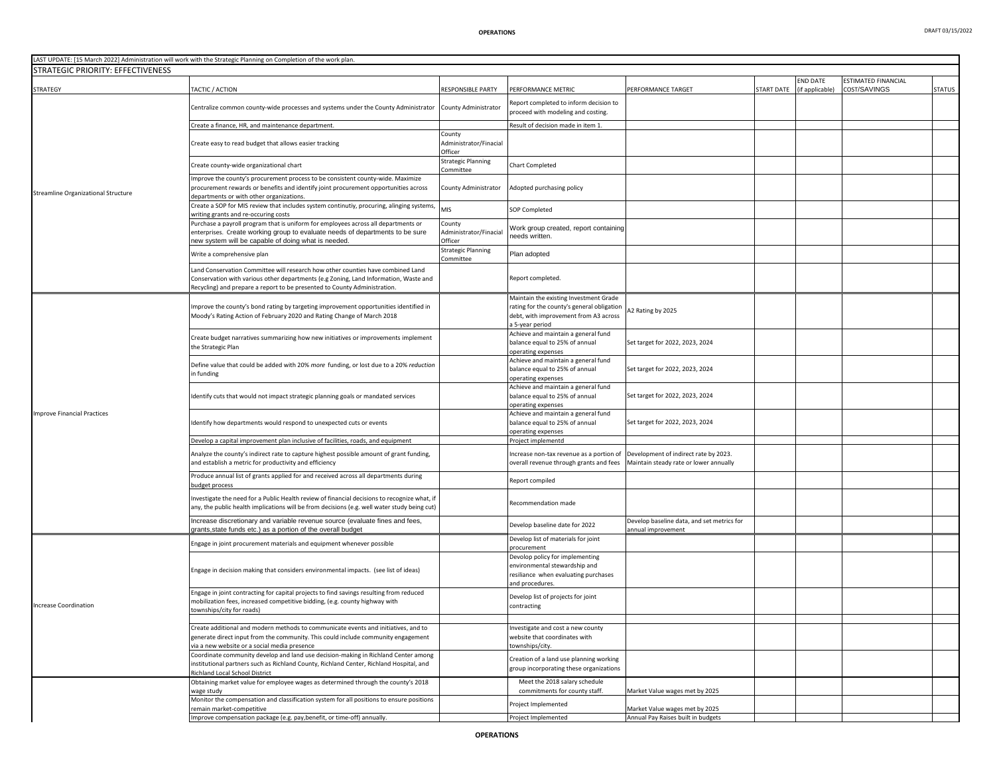| STRATEGIC PRIORITY: EFFECTIVENESS   | LAST UPDATE: [15 March 2022] Administration will work with the Strategic Planning on Completion of the work plan.                                                                                                                                                                                             |                                             |                                                                                                                                                |                                                                                 |            |                 |                     |               |
|-------------------------------------|---------------------------------------------------------------------------------------------------------------------------------------------------------------------------------------------------------------------------------------------------------------------------------------------------------------|---------------------------------------------|------------------------------------------------------------------------------------------------------------------------------------------------|---------------------------------------------------------------------------------|------------|-----------------|---------------------|---------------|
|                                     |                                                                                                                                                                                                                                                                                                               |                                             |                                                                                                                                                |                                                                                 |            | END DATE        | ESTIMATED FINANCIAL |               |
| STRATEGY                            | TACTIC / ACTION                                                                                                                                                                                                                                                                                               | RESPONSIBLE PARTY                           | <b>PERFORMANCE METRIC</b>                                                                                                                      | PERFORMANCE TARGET                                                              | START DATE | (if applicable) | COST/SAVINGS        | <b>STATUS</b> |
|                                     | Centralize common county-wide processes and systems under the County Administrator                                                                                                                                                                                                                            | County Administrator                        | Report completed to inform decision to<br>proceed with modeling and costing.                                                                   |                                                                                 |            |                 |                     |               |
|                                     | Create a finance, HR, and maintenance department.                                                                                                                                                                                                                                                             |                                             | Result of decision made in item 1.                                                                                                             |                                                                                 |            |                 |                     |               |
|                                     | Create easy to read budget that allows easier tracking                                                                                                                                                                                                                                                        | County<br>Administrator/Finacial<br>Officer |                                                                                                                                                |                                                                                 |            |                 |                     |               |
|                                     | Create county-wide organizational chart                                                                                                                                                                                                                                                                       | <b>Strategic Planning</b><br>Committee      | Chart Completed                                                                                                                                |                                                                                 |            |                 |                     |               |
| Streamline Organizational Structure | Improve the county's procurement process to be consistent county-wide. Maximize<br>procurement rewards or benefits and identify joint procurement opportunities across<br>departments or with other organizations.                                                                                            | County Administrator                        | Adopted purchasing policy                                                                                                                      |                                                                                 |            |                 |                     |               |
|                                     | Create a SOP for MIS review that includes system continutiy, procuring, alinging systems<br>writing grants and re-occuring costs                                                                                                                                                                              | MIS                                         | SOP Completed                                                                                                                                  |                                                                                 |            |                 |                     |               |
|                                     | Purchase a payroll program that is uniform for employees across all departments or<br>enterprises. Create working group to evaluate needs of departments to be sure<br>new system will be capable of doing what is needed.                                                                                    | County<br>Administrator/Finacial<br>Officer | Nork group created, report containing<br>eeds written.                                                                                         |                                                                                 |            |                 |                     |               |
|                                     | Write a comprehensive plan                                                                                                                                                                                                                                                                                    | <b>Strategic Planning</b>                   | Plan adopted                                                                                                                                   |                                                                                 |            |                 |                     |               |
|                                     | Land Conservation Committee will research how other counties have combined Land<br>Conservation with various other departments (e.g Zoning, Land Information, Waste and<br>Recycling) and prepare a report to be presented to County Administration.                                                          | Committee                                   | Report completed.                                                                                                                              |                                                                                 |            |                 |                     |               |
|                                     | Improve the county's bond rating by targeting improvement opportunities identified in<br>Moody's Rating Action of February 2020 and Rating Change of March 2018                                                                                                                                               |                                             | Maintain the existing Investment Grade<br>rating for the county's general obligation<br>debt, with improvement from A3 across<br>5-year period | A2 Rating by 2025                                                               |            |                 |                     |               |
|                                     | Create budget narratives summarizing how new initiatives or improvements implement<br>the Strategic Plan                                                                                                                                                                                                      |                                             | Achieve and maintain a general fund<br>balance equal to 25% of annual<br>operating expenses                                                    | Set target for 2022, 2023, 2024                                                 |            |                 |                     |               |
|                                     | Define value that could be added with 20% more funding, or lost due to a 20% reduction<br>in funding                                                                                                                                                                                                          |                                             | Achieve and maintain a general fund<br>balance equal to 25% of annual<br>operating expenses                                                    | Set target for 2022, 2023, 2024                                                 |            |                 |                     |               |
|                                     | Identify cuts that would not impact strategic planning goals or mandated services                                                                                                                                                                                                                             |                                             | Achieve and maintain a general fund<br>balance equal to 25% of annual<br>operating expenses                                                    | Set target for 2022, 2023, 2024                                                 |            |                 |                     |               |
| <b>Improve Financial Practices</b>  | Identify how departments would respond to unexpected cuts or events                                                                                                                                                                                                                                           |                                             | Achieve and maintain a general fund<br>balance equal to 25% of annual<br>operating expenses                                                    | Set target for 2022, 2023, 2024                                                 |            |                 |                     |               |
|                                     | Develop a capital improvement plan inclusive of facilities, roads, and equipment                                                                                                                                                                                                                              |                                             | Project implementd                                                                                                                             |                                                                                 |            |                 |                     |               |
|                                     | Analyze the county's indirect rate to capture highest possible amount of grant funding,<br>and establish a metric for productivity and efficiency                                                                                                                                                             |                                             | Increase non-tax revenue as a portion of<br>overall revenue through grants and fees                                                            | Development of indirect rate by 2023.<br>Maintain steady rate or lower annually |            |                 |                     |               |
|                                     | Produce annual list of grants applied for and received across all departments during<br>budget process                                                                                                                                                                                                        |                                             | Report compiled                                                                                                                                |                                                                                 |            |                 |                     |               |
|                                     | Investigate the need for a Public Health review of financial decisions to recognize what, if<br>any, the public health implications will be from decisions (e.g. well water study being cut)                                                                                                                  |                                             | Recommendation made                                                                                                                            |                                                                                 |            |                 |                     |               |
|                                     | Increase discretionary and variable revenue source (evaluate fines and fees,<br>grants, state funds etc.) as a portion of the overall budget                                                                                                                                                                  |                                             | Develop baseline date for 2022                                                                                                                 | Develop baseline data, and set metrics for<br>annual improvement                |            |                 |                     |               |
|                                     | Engage in joint procurement materials and equipment whenever possible                                                                                                                                                                                                                                         |                                             | Develop list of materials for joint<br>procurement                                                                                             |                                                                                 |            |                 |                     |               |
| Increase Coordination               | Engage in decision making that considers environmental impacts. (see list of ideas)                                                                                                                                                                                                                           |                                             | Devolop policy for implementing<br>environmental stewardship and<br>resiliance when evaluating purchases<br>and procedures.                    |                                                                                 |            |                 |                     |               |
|                                     | Engage in joint contracting for capital projects to find savings resulting from reduced<br>mobilization fees, increased competitive bidding, (e.g. county highway with<br>townships/city for roads)                                                                                                           |                                             | Develop list of projects for joint<br>contracting                                                                                              |                                                                                 |            |                 |                     |               |
|                                     | Create additional and modern methods to communicate events and initiatives, and to<br>generate direct input from the community. This could include community engagement<br>via a new website or a social media presence<br>Coordinate community develop and land use decision-making in Richland Center among |                                             | Investigate and cost a new county<br>website that coordinates with<br>townships/city.                                                          |                                                                                 |            |                 |                     |               |
|                                     | institutional partners such as Richland County, Richland Center, Richland Hospital, and<br>Richland Local School District                                                                                                                                                                                     |                                             | Creation of a land use planning working<br>group incorporating these organizations                                                             |                                                                                 |            |                 |                     |               |
|                                     | Obtaining market value for employee wages as determined through the county's 2018<br>wage study                                                                                                                                                                                                               |                                             | Meet the 2018 salary schedule<br>commitments for county staff.                                                                                 | Market Value wages met by 2025                                                  |            |                 |                     |               |
|                                     | Monitor the compensation and classification system for all positions to ensure positions<br>remain market-competitive                                                                                                                                                                                         |                                             | roject Implemented                                                                                                                             | Market Value wages met by 2025                                                  |            |                 |                     |               |
|                                     | Improve compensation package (e.g. pay,benefit, or time-off) annually.                                                                                                                                                                                                                                        |                                             | Project Implemented                                                                                                                            | Annual Pay Raises built in budgets                                              |            |                 |                     |               |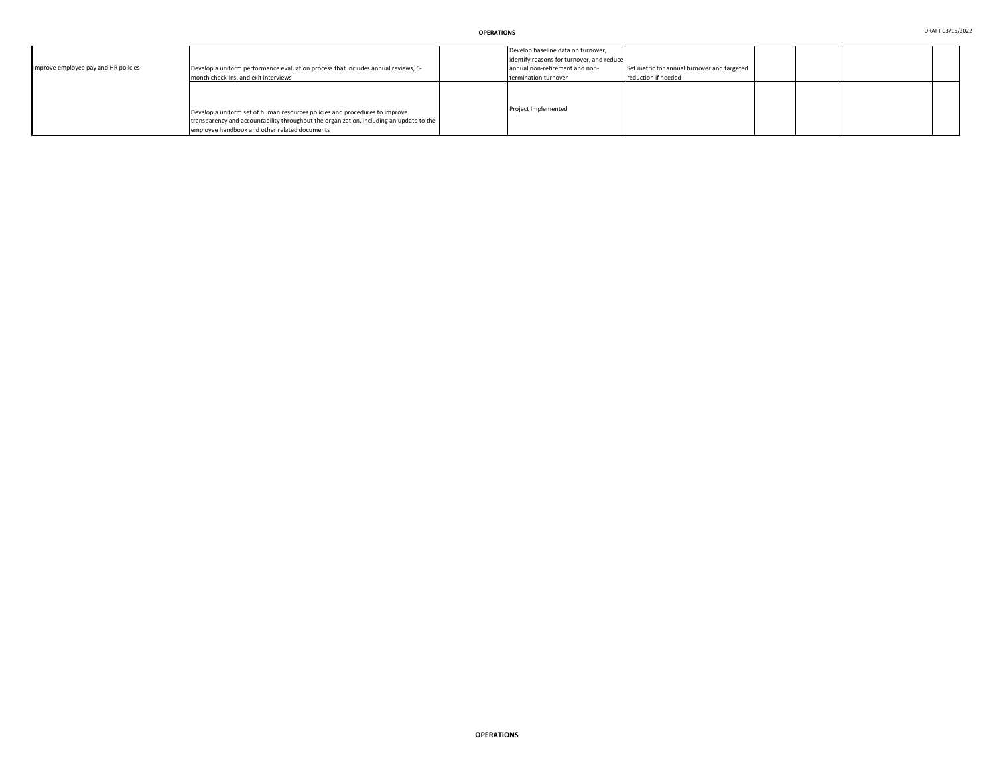| Improve employee pay and HR policies | Develop a uniform performance evaluation process that includes annual reviews, 6-<br>month check-ins, and exit interviews                                                                                               | Develop baseline data on turnover,<br>identify reasons for turnover, and reduce<br>annual non-retirement and non-<br>termination turnover | Set metric for annual turnover and targeted<br>reduction if needed |  |  |
|--------------------------------------|-------------------------------------------------------------------------------------------------------------------------------------------------------------------------------------------------------------------------|-------------------------------------------------------------------------------------------------------------------------------------------|--------------------------------------------------------------------|--|--|
|                                      | Develop a uniform set of human resources policies and procedures to improve<br>transparency and accountability throughout the organization, including an update to the<br>employee handbook and other related documents | Project Implemented                                                                                                                       |                                                                    |  |  |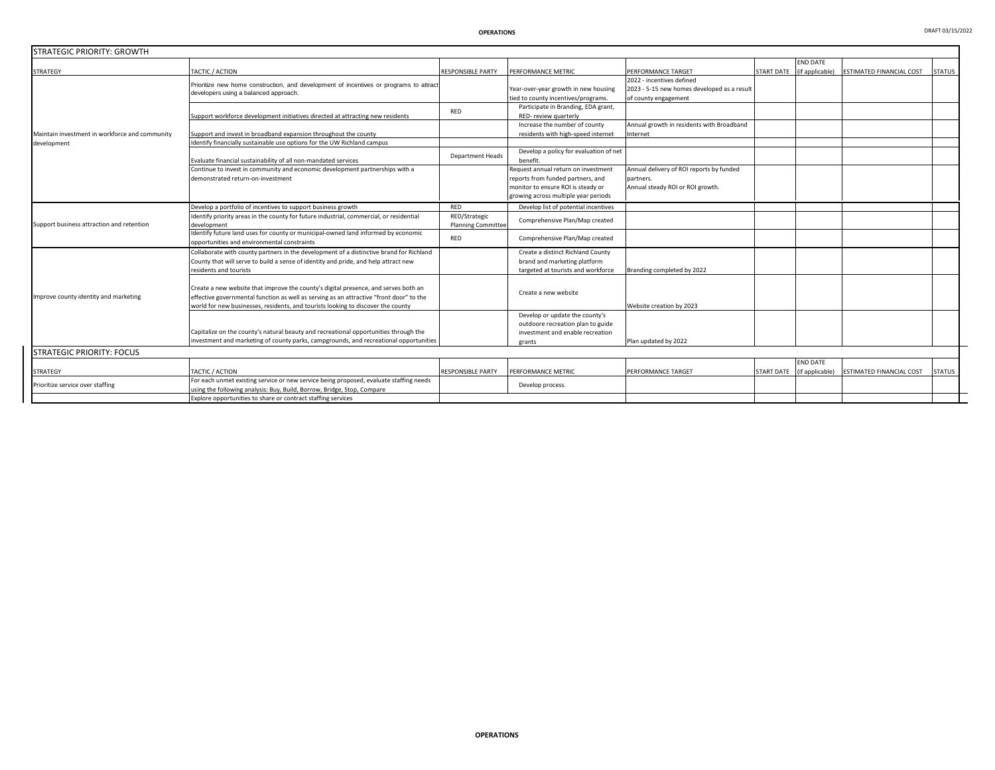| <b>STRATEGIC PRIORITY: GROWTH</b>              |                                                                                                                                                                                                                                                                    |                                            |                                                                                                                                                        |                                                                                                  |                   |                                    |                          |               |
|------------------------------------------------|--------------------------------------------------------------------------------------------------------------------------------------------------------------------------------------------------------------------------------------------------------------------|--------------------------------------------|--------------------------------------------------------------------------------------------------------------------------------------------------------|--------------------------------------------------------------------------------------------------|-------------------|------------------------------------|--------------------------|---------------|
| <b>STRATEGY</b>                                | TACTIC / ACTION                                                                                                                                                                                                                                                    | <b>RESPONSIBLE PARTY</b>                   | PERFORMANCE METRIC                                                                                                                                     | PERFORMANCE TARGET                                                                               | <b>START DATE</b> | <b>END DATE</b><br>(if applicable) | ESTIMATED FINANCIAL COST | <b>STATUS</b> |
| Maintain investment in workforce and community | Prioritize new home construction, and development of incentives or programs to attract<br>developers using a balanced approach.                                                                                                                                    |                                            | Year-over-year growth in new housing<br>tied to county incentives/programs.                                                                            | 2022 - incentives defined<br>2023 - 5-15 new homes developed as a result<br>of county engagement |                   |                                    |                          |               |
|                                                | Support workforce development initiatives directed at attracting new residents                                                                                                                                                                                     | RED                                        | Participate in Branding, EDA grant,<br>RED-review quarterly                                                                                            |                                                                                                  |                   |                                    |                          |               |
|                                                | Support and invest in broadband expansion throughout the county                                                                                                                                                                                                    |                                            | Increase the number of county<br>residents with high-speed internet                                                                                    | Annual growth in residents with Broadband<br>nternet                                             |                   |                                    |                          |               |
| development                                    | Identify financially sustainable use options for the UW Richland campus                                                                                                                                                                                            |                                            |                                                                                                                                                        |                                                                                                  |                   |                                    |                          |               |
|                                                | Evaluate financial sustainability of all non-mandated services                                                                                                                                                                                                     | <b>Department Heads</b>                    | Develop a policy for evaluation of net<br>benefit                                                                                                      |                                                                                                  |                   |                                    |                          |               |
|                                                | Continue to invest in community and economic development partnerships with a<br>demonstrated return-on-investment                                                                                                                                                  |                                            | Request annual return on investment<br>reports from funded partners, and<br>monitor to ensure ROI is steady or<br>growing across multiple year periods | Annual delivery of ROI reports by funded<br>partners.<br>Annual steady ROI or ROI growth.        |                   |                                    |                          |               |
|                                                | Develop a portfolio of incentives to support business growth                                                                                                                                                                                                       | RED                                        | Develop list of potential incentives                                                                                                                   |                                                                                                  |                   |                                    |                          |               |
| Support business attraction and retention      | Identify priority areas in the county for future industrial, commercial, or residential<br>development                                                                                                                                                             | RED/Strategic<br><b>Planning Committee</b> | Comprehensive Plan/Map created                                                                                                                         |                                                                                                  |                   |                                    |                          |               |
|                                                | Identify future land uses for county or municipal-owned land informed by economic<br>opportunities and environmental constraints                                                                                                                                   | RED                                        | Comprehensive Plan/Map created                                                                                                                         |                                                                                                  |                   |                                    |                          |               |
| Improve county identity and marketing          | Collaborate with county partners in the development of a distinctive brand for Richland<br>County that will serve to build a sense of identity and pride, and help attract new<br>residents and tourists                                                           |                                            | Create a distinct Richland County<br>brand and marketing platform<br>targeted at tourists and workforce                                                | Branding completed by 2022                                                                       |                   |                                    |                          |               |
|                                                | Create a new website that improve the county's digital presence, and serves both an<br>effective governmental function as well as serving as an attractive "front door" to the<br>world for new businesses, residents, and tourists looking to discover the county |                                            | Create a new website                                                                                                                                   | Website creation by 2023                                                                         |                   |                                    |                          |               |
|                                                | Capitalize on the county's natural beauty and recreational opportunities through the                                                                                                                                                                               |                                            | Develop or update the county's<br>outdoore recreation plan to guide<br>investment and enable recreation                                                |                                                                                                  |                   |                                    |                          |               |
|                                                | investment and marketing of county parks, campgrounds, and recreational opportunities                                                                                                                                                                              |                                            | grants                                                                                                                                                 | Plan updated by 2022                                                                             |                   |                                    |                          |               |
| <b>STRATEGIC PRIORITY: FOCUS</b>               |                                                                                                                                                                                                                                                                    |                                            |                                                                                                                                                        |                                                                                                  |                   |                                    |                          |               |
| <b>STRATEGY</b>                                | TACTIC / ACTION                                                                                                                                                                                                                                                    | <b>RESPONSIBLE PARTY</b>                   | PERFORMANCE METRIC                                                                                                                                     | PERFORMANCE TARGET                                                                               | <b>START DATE</b> | <b>END DATE</b><br>(if applicable) | ESTIMATED FINANCIAL COST | <b>STATUS</b> |
| Prioritize service over staffing               | For each unmet existing service or new service being proposed, evaluate staffing needs<br>using the following analysis: Buy, Build, Borrow, Bridge, Stop, Compare                                                                                                  |                                            | Develop process.                                                                                                                                       |                                                                                                  |                   |                                    |                          |               |
|                                                | Explore opportunities to share or contract staffing services                                                                                                                                                                                                       |                                            |                                                                                                                                                        |                                                                                                  |                   |                                    |                          |               |